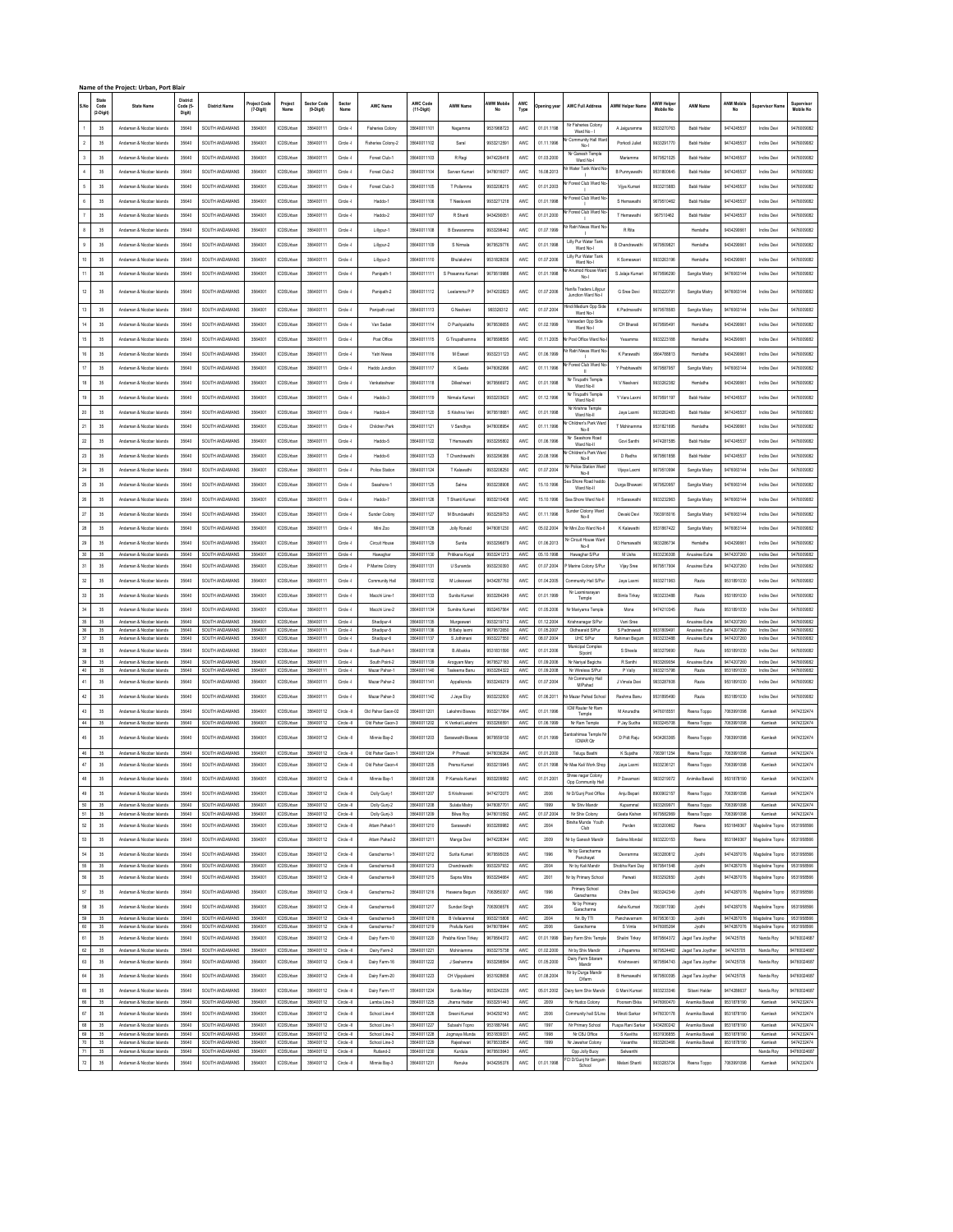|                    |               | Name of the Project: Urban, Port Blair                 |                    |                                  |                     |                                      |                        |                        |                                |                            |                               |                          |                   |                          |                                         |                        |                          |                        |                          |                            |                          |
|--------------------|---------------|--------------------------------------------------------|--------------------|----------------------------------|---------------------|--------------------------------------|------------------------|------------------------|--------------------------------|----------------------------|-------------------------------|--------------------------|-------------------|--------------------------|-----------------------------------------|------------------------|--------------------------|------------------------|--------------------------|----------------------------|--------------------------|
|                    | State<br>Code | State Name                                             | Distric<br>Code (5 | <b>District Name</b>             | <b>Troject Code</b> | Project                              | Sector Code            | Sector                 | <b>AWC Name</b>                | AWC Code                   | AWW Name                      | AWW Mobile               | AWC               |                          | <b>AWC Full Address</b>                 | <b>AWW Helper Name</b> | AWW Helpe                | <b>ANM Name</b>        | <b>MM Mobile</b>         |                            | Supervisor               |
| S.No               | (2-Digit      |                                                        | Digit)             |                                  | $(7-Digit)$         | Name                                 | (9-Digit)              | Name                   |                                | (11-Digit)                 |                               |                          | Type              | bening yea               |                                         |                        |                          |                        | No                       | upervisor Nar              | Mobile No                |
|                    |               |                                                        |                    |                                  |                     |                                      |                        |                        |                                |                            |                               |                          |                   |                          | Nr Fisheries Colony                     |                        |                          |                        |                          |                            |                          |
|                    | 35            | Andaman & Nicobar Island                               | 35640              | SOUTH ANDAMANS                   | 3564001             | CDSUrba                              | 356400111              | Circle -               | <b>Fisheries Colony</b>        | 35640011101                | Nagamma                       | 9531968723               | AWC               | 01.01.1198               | Ward No -                               | A Jaiguramma           | 9933270763               | Babli Halde            | 9474245537               | Indira Devi                | 9476009082               |
| $\overline{2}$     | 35            | Andaman & Nicobar Islands                              | 35640              | SOUTH ANDAMANS                   | 3564001             | <b>ICDSUrbar</b>                     | 356400111              | Circle -               | Fisheries Colony-2             | 35640011102                | Saral                         | 9933212591               | AWC               | 01.11.1996               | Community Hall W<br>No-I                | Porkodi Juliet         | 9933291770               | Babli Halder           | 9474245537               | Indira Devi                | 9476009082               |
|                    |               |                                                        |                    |                                  |                     |                                      |                        |                        |                                | 35640011103                |                               |                          |                   |                          | Nr Ganesh Temple                        |                        |                          |                        | 9474245537               |                            | 9476009082               |
|                    | 35            | Andaman & Nicobar Islands                              | 35640              | SOUTH ANDAMANS                   | 3564001             | <b>ICDSUrbar</b>                     | 356400111              | Circle -               | Forest Club-1                  |                            | R Regi                        | 9474226418               | AWC               | 01.03.2000               | Ward No-                                | Mariamma               | 9679521025               | Babli Halder           |                          | Indira Devi                |                          |
|                    | 35            | Andaman & Nicobar Islands                              | 35640              | SOUTH ANDAMANS                   | 3564001             | <b>ICDSUIDA</b>                      | 356400111              | Circle -               | Forest Club-2                  | 35640011104                | Sarvan Kumar                  | 9476016077               | AWC               | 16.08.2013               | r Water Tank Ward N                     | B Punnyawathi          | 9531800645               | <b>Rahli Halde</b>     | 9474245537               | Indira Devi                | 9476009082               |
|                    | 35            | Andaman & Nicobar Islands                              | 35640              | SOUTH ANDAMANS                   | 3564001             | CDSUrba                              | 356400111              | Circle -               | Forest Club-3                  | 35640011105                | T Pollamma                    | 9933208215               | AWC               | 01.01.2003               | Ir Forest Club Ward N                   | Viya Kumar             | 9933215883               | Babli Halde            | 947424553                | Indira Devi                | 947600908                |
|                    |               |                                                        |                    |                                  |                     |                                      |                        |                        |                                |                            |                               |                          |                   |                          | $\mathbf{I}$<br>Vr Forest Club Ward N   |                        |                          |                        |                          |                            |                          |
|                    | $35\,$        | Andaman & Nicobar Islands                              | 35640              | SOUTH ANDAMANS                   | 3564001             | CDSUrbar                             | 356400111              | Circle -               | Haddo-1                        | 35640011106                | T Neelaveni                   | 9933271218               | AWC               | 01.01.1998               |                                         | S Hemawathi            | 9679510462               | Babli Halder           | 9474245537               | Indira Devi                | 9476009082               |
|                    | 35            | Andaman & Nicobar Islands                              | 35640              | SOUTH ANDAMANS                   | 3564001             | <b>ICDSUrbar</b>                     | 356400111              | Circle -               | Haddo-2                        | 35640011107                | R Shanti                      | 9434290051               | AWC               | 01.01.2000               | Forest Club Ward N                      | T Hemawathi            | 967510462                | Babli Halder           | 9474245537               | Indira Devi                | 9476009082               |
|                    |               |                                                        |                    |                                  |                     |                                      |                        |                        |                                |                            |                               |                          |                   |                          | r Ratri Niwas Ward N                    |                        |                          |                        |                          |                            |                          |
| $\bf8$             | 35            | Andaman & Nicobar Islands                              | 35640              | SOUTH ANDAMANS                   | 3564001             | <b>ICDSLIMA</b>                      | 356400111              | Circle -1              | Lillypur-1                     | 35640011108                | <b>B</b> Fswaramma            | 9933298442               | AWC               | 01.07.1999               |                                         | R Rite                 |                          | Hemisths               | 9434290661               | Indica Devi                | 9476009082               |
| $\mathsf g$        | 35            | Andaman & Nicobar Islands                              | 35640              | SOUTH ANDAMANS                   | 3564001             | CDSUrba                              | 356400111              | Circle -               | Lillypur-2                     | 35640011109                | S Nirmala                     | 9679529776               | AWC               | 01.01.1998               | Lilly Pur Water Tank<br>Ward No-I       | B Chandrawathi         | 967950982                | Hemlatha               | 943429066                | Indira Devi                | 9476009082               |
| $10$               | 35            | Andaman & Nicobar Islands                              | 35640              | SOUTH ANDAMANS                   | 3564001             | CDSUrbar                             | 356400111              | Circle -               |                                | 35640011110                | Bhulakshmi                    | 9531828036               | AWC               | 01.07.2006               | Lilly Pur Water Tank                    | K Someswari            | 9933263196               | Hemlatha               | 9434290661               | Indira Devi                | 9476009082               |
|                    |               |                                                        |                    |                                  |                     |                                      |                        |                        | Lillypur-3                     |                            |                               |                          |                   |                          | Ward No-I                               |                        |                          |                        |                          |                            |                          |
| $\mathsf{11}$      | 35            | Andaman & Nicobar Islands                              | 35640              | SOUTH ANDAMANS                   | 3564001             | <b>ICDSUrbar</b>                     | 356400111              | Circle -               | Paripath-1                     | 35640011111                | S Prasanna Kumari             | 9679519986               | AWC               | 01.01.1998               | Anumod House War<br>No-I                | S Jalaia Kumari        | 9679596290               | Sangita Mistry         | 9476063144               | Indira Devi                | 9476009082               |
|                    |               |                                                        |                    |                                  |                     |                                      |                        |                        |                                |                            |                               |                          |                   |                          | fanifa Traders Lillypu                  |                        |                          |                        |                          |                            |                          |
| $12\,$             | 35            | Andaman & Nicobar Islands                              | 35640              | SOUTH ANDAMANS                   | 3564001             | <b>ICDSUrbar</b>                     | 356400111              | Circle -               | Panipath-2                     | 35640011112                | Leelamma P F                  | 9474202823               | AWC               | 01.07.2006               | Junction Ward No-I                      | G Sree Devi            | 9933220791               | Sangita Mistry         | 9476063144               | Indira Devi                | 9476009082               |
| $13\,$             | 35            | Andaman & Nicobar Islands                              | 35640              | SOUTH ANDAMANS                   | 3564001             | ICDSUrba                             | 356400111              | Circle -               | Panipath road                  | 35640011113                | G Neelveri                    | 993326312                | AWC               | 01.07.2004               | Hindi Medium Opp Sid                    | K Padmavathi           | 9679578583               | Sangita Mistry         | 9476063144               | Indira Devi                | 9476009082               |
|                    |               |                                                        |                    |                                  |                     |                                      |                        |                        |                                |                            |                               |                          |                   |                          | Ward No-I<br>Vansadan Opp Side          |                        |                          |                        |                          |                            |                          |
| $14$               | 35            | Andaman & Nicobar Islands                              | 35640              | SOUTH ANDAMANS                   | 3564001             | <b>ICDSUrbar</b>                     | 356400111              | Circle -               | Van Sadan                      | 35640011114                | D Pushpalatha                 | 9679536655               | AWC               | 01.02.1999               | Ward No-I                               | CH Bharati             | 9679595491               | Hemlatha               | 9434290661               | Indira Devi                | 9476009082               |
| $15\,$             | 35            | Andaman & Nicobar Islands                              | 35640              | SOUTH ANDAMANS                   | 3564001             | <b>ICDSUrbar</b>                     | 356400111              | Circle -               | Post Office                    | 35640011115                | G Tirupathamma                | 9679598595               | AWC               | 01.11.2005               | Nr Post Office Ward No                  | Yesamma                | 9933223188               | Hemlatha               | 9434290661               | Indira Devi                | 9476009082               |
|                    |               |                                                        |                    |                                  |                     |                                      |                        |                        |                                |                            |                               |                          |                   |                          | r Ratri Niwas Ward N                    |                        |                          |                        |                          |                            |                          |
| $16\,$             | $35\,$        | Andaman & Nicobar Islands                              | 35640              | SOUTH ANDAMANS                   | 3564001             | <b>ICDSUrba</b>                      | 356400111              | Circle -I              | Yatri Niwas                    | 35640011116                | M Eswari                      | 9933231123               | AWC               | 01.06.1999               |                                         | K Parawathi            | 9564788813               | Hemlatha               | 9434290661               | Indira Devi                | 9476009082               |
| $17\,$             | 35            | Andaman & Nicobar Islands                              | 35640              | SOUTH ANDAMANS                   | 3564001             | CDSUrba                              | 356400111              | Circle -               | Haddo Junction                 | 35640011117                | K Geeta                       | 9476062996               | AWC               | 01.11.1996               | Ir Forest Club Ward N                   | Y Prabhawath           | 9679587957               | Sangita Mistry         | 947606314                | Indira Devi                | 9476009082               |
| $18\,$             | 35            | Andaman & Nicobar Islands                              | 35640              | SOUTH ANDAMANS                   | 3564001             | <b>ICDSUrbar</b>                     | 356400111              | Circle -I              | Venkateshwar                   | 35640011118                | Dileshwari                    | 9679566972               | AWC               | 01.01.1998               | Nr Tirupathi Temple                     | V Neelveni             | 9933262382               | Hemlatha               | 9434290661               | Indira Devi                | 9476009082               |
|                    |               |                                                        |                    |                                  |                     |                                      |                        |                        |                                |                            |                               |                          |                   |                          | Ward No-II<br>Nr Tirupathi Templ        |                        |                          |                        |                          |                            |                          |
| 19                 | 35            | Andaman & Nicobar Islands                              | 35640              | SOUTH ANDAMANS                   | 3564001             | <b>ICDSUrbar</b>                     | 356400111              | Circle -               | Haddo-3                        | 35640011119                | Nirmala Kumari                | 9933203620               | <b>AWC</b>        | 01.12.1996               | Ward No-II                              | Y Vara Laxmi           | 9679591197               | Babli Halder           | 9474245537               | Indira Devi                | 9476009082               |
| $20\,$             | 35            | Andaman & Nicobar Islands                              | 35640              | SOUTH ANDAMANS                   | 3564001             | <b>ICDSUrbar</b>                     | 356400111              | Circle -I              | Haddo-4                        | 35640011120                | S Krishna Veni                | 9679518681               | AWC               | 01.01.1998               | Nr Krishna Temple<br>Ward No-I          | Jaya Laxmi             | 9933262483               | Babli Halder           | 9474245537               | Indira Devi                | 9476009082               |
|                    |               |                                                        |                    |                                  |                     |                                      |                        |                        |                                |                            |                               |                          |                   |                          | Ir Children's Park War                  |                        |                          |                        |                          |                            |                          |
| 21                 | 35            | Andaman & Nicobar Islands                              | 35640              | SOUTH ANDAMANS                   | 3564001             | CDSUrba                              | 356400111              | Circle -               | Children Park                  | 3564001112                 | V Sandhya                     | 9476008954               | AWC               | 01.11.1996               | No-II                                   | T Mohinamma            | 9531821695               | Hemlatha               | 9434290661               | Indira Devi                | 9476009082               |
| $\rm{^{22}}$       | $35\,$        | Andaman & Nicobar Islands                              | 35640              | SOUTH ANDAMANS                   | 3564001             | <b>ICDSUrbar</b>                     | 356400111              | Circle -               | Haddo-5                        | 35640011122                | T Hemawathi                   | 9933295802               | AWC               | 01.06.1996               | Nr Seashore Road<br>Ward No-II          | Govi Santhi            | 9474281585               | Babli Halder           | 9474245537               | Indira Devi                | 9476009082               |
| $\mathbf{23}$      | 35            | Andaman & Nicobar Islands                              | 35640              | SOUTH ANDAMANS                   | 3564001             | <b>ICDSUrbar</b>                     | 356400111              | Circle -I              | Haddo-6                        | 35640011123                | T Chandrawathi                | 9933296386               | <b>AWC</b>        | 20.08.1996               | Children's Park War                     | D Radha                | 9679561858               | Babli Halder           | 9474245537               | Indira Devi                | 9476009082               |
|                    |               |                                                        |                    |                                  |                     |                                      |                        |                        |                                |                            |                               |                          |                   |                          | No-II<br>Vr Police Station Ward         |                        |                          |                        |                          |                            |                          |
| $_{\rm 24}$        | $35\,$        | Andaman & Nicobar Islands                              | 35640              | SOUTH ANDAMANS                   | 3564001             | <b>ICDSUrba</b>                      | 356400111              | Circle -I              | Police Station                 | 35640011124                | T Kalawathi                   | 9933208250               | AWC               | 01.07.2004               | No-II                                   | Vijaya Laxmi           | 9679510994               | Sangita Mistry         | 9476063144               | Indira Devi                | 9476009082               |
| $25\,$             | 35            | Andaman & Nicobar Islands                              | 35640              | SOUTH ANDAMANS                   | 3564001             | CDSUrba                              | 356400111              | Circle -               | Seashore-1                     | 35640011125                | Salma                         | 9933238908               | AWC               | 15.10.1996               | ea Shore Road haddr                     | Durga Bhawan           | 9679520957               | Sangita Mistry         | 9476063144               | Indira Devi                | 9476009082               |
|                    |               |                                                        |                    |                                  |                     |                                      |                        |                        |                                |                            |                               |                          |                   |                          | Ward No-II                              |                        |                          |                        |                          |                            |                          |
| $26\,$             | $35\,$        | Andaman & Nicobar Islands                              | 35640              | SOUTH ANDAMANS                   | 3564001             | CDSUrbar                             | 356400111              | Circle -I              | Haddo-7                        | 35640011126                | T Shanti Kumari               | 9933210408               | AWC               | 15.10.1996               | Sea Shore Ward No-I                     | H Saraswathi           | 9933232963               | Sangita Mistry         | 9476063144               | Indira Devi                | 9476009082               |
| $27\,$             | $35\,$        | Andaman & Nicobar Islands                              | 35640              | SOUTH ANDAMANS                   | 3564001             | <b>ICDSUrbar</b>                     | 356400111              | Circle -I              | Sunder Colony                  | 35640011127                | M Brundawathi                 | 9933259753               | AWC               | 01.11.1996               | Sunder Clolony Ward<br>Noll             | Devaki Devi            | 7063918016               | Sangita Mistry         | 9476063144               | Indira Devi                | 9476009082               |
| $\rm 28$           | 35            | Andaman & Nicobar Islands                              | 35640              | SOUTH ANDAMANS                   | 3564001             | <b>ICDSUrbar</b>                     | 356400111              | Circle -I              | Mini Zoo                       | 35640011128                | Jolly Ronald                  | 9476081230               | <b>AWC</b>        | 05.02.2004               | Nr Mini Zoo Ward No-I                   | K Kalawathi            | 9531867422               | Sangita Mistry         | 9476063144               | Indira Devi                | 9476009082               |
|                    |               |                                                        |                    |                                  |                     |                                      |                        |                        |                                |                            |                               |                          |                   |                          |                                         |                        |                          |                        |                          |                            |                          |
| $29\,$             | 35            | Andaman & Nicobar Islands                              | 35640              | SOUTH ANDAMANS                   | 3564001             | <b>ICDSLIMA</b>                      | 356400111              | Circle -1              | Circuit House                  | 35640011129                | Sunita                        | 9933296879               | AWC               | 01.06.2013               | Vr Circuit House Wan<br>No-II           | D Hemawathi            | 9933286734               | Hemisths               | 9434290661               | Indira Devi                | 9476009082               |
| 30                 | 35            | Andaman & Nicobar Islands                              | 35640              | SOUTH ANDAMANS                   | 3564001             | ICDSLI/har                           | 356400111              | Circle -1              | Hawaghar                       | 35640011130                | Pritikana Kaya                | 9933241213               | AWC.              | 05.10.1998               | Hawaghar S/Pur                          | M Usha                 | 9933236308               | Anusiree Euha          | 9474207260               | Indira Devi                | 9476009082               |
| 31                 | 35            | Andaman & Nicobar Islands                              | 35640              | SOUTH ANDAMANS                   | 3564001             | <b>ICDSLIMA</b>                      | 356400111              | Circle -1              | P Marine Colon                 | 35640011131                | U Sunanda                     | 9933230393               | AWC               | 01.07.2004               | P Marine Colony S/Pu                    | Vijay Sree             | 9679517904               | Anusiree Euha          | 9474207260               | Indira Devi                | 9476009082               |
| $32\,$             | 35            | Andaman & Nicobar Islands                              | 35640              | SOUTH ANDAMANS                   | 3564001             | CDSUrba                              | 356400111              | Circle -               | Community Hal                  | 35640011132                | M Lokeswari                   | 9434287760               | AWC               | 01.04.2005               | Community Hall S/Pu                     | Jaya Laxmi             | 9933271963               | Razia                  | 9531891030               | Indira Devi                | 9476009082               |
|                    |               |                                                        |                    |                                  |                     |                                      |                        |                        |                                |                            |                               |                          |                   |                          | Nr Laxminarayar                         |                        |                          |                        |                          |                            |                          |
| 33                 | 35            | Andaman & Nicobar Islands                              | 35640              | SOUTH ANDAMANS                   | 3564001             | CDSUrbar                             | 356400111              | Circle -               | Macchi Line-1                  | 35640011133                | Sunita Kumari                 | 9933284249               | AWC               | 01.01.1999               | Temple                                  | <b>Bimla Tirkey</b>    | 9933233488               | Razia                  | 9531891030               | Indira Devi                | 9476009082               |
| $_{34}$            | 35            | Andaman & Nicobar Islands                              | 35640              | SOUTH ANDAMANS                   | 3564001             | CDSUrbar                             | 356400111              | Circle -               | Macchi Line-2                  | 35640011134                | Sumitra Kumar                 | 9932457564               | AWC               | 01.05.2006               | Nr Marivama Temple                      | Mona                   | 9474210345               | Razia                  | 9531891030               | Indira Devi                | 9476009082               |
| 35                 | 35            | Andaman & Nicobar Islands                              | 35640              | SOUTH ANDAMANS                   | 3564001             | <b>ICDSUrban</b>                     | 356400111              | Circle -I              | Shadipur-4                     | 35640011135                | Murgeswari                    | 9933219712               | AWC               | 01.12.2004               | Krishnanagar S/Pur                      | Vani Sree              |                          | Anusiree Euha          | 9474207260               | Indira Devi                | 9476009082               |
| 36                 | $35\,$        | Andaman & Nicobar Islands                              | 35640              | SOUTH ANDAMANS<br>SOUTH ANDAMANS | 3564001<br>3564001  | CDSUrbar                             | 356400111<br>356400111 | Circle -               | Shadipur-5                     | 35640011136<br>35640011137 | B Baby laxmi<br>S Jothimani   | 9679572650<br>9933227550 | AWC               | 01.05.2007               | Oldhearaid S/Put                        | S Padmawati            | 9531809491<br>99332334RR | Anusiree Euha          | 9474207260<br>9474207260 | Indira Devi                | 9476009082<br>9476009082 |
| 37                 | 35            | Andaman & Nicobar Islands                              | 35640<br>35640     |                                  | 3564001             | CDSUrban<br><b>ICDSLIMA</b>          |                        | Circle -I              | Shadipur-6                     |                            |                               |                          | <b>AWC</b><br>AWC | 08.07.2004               | UHC S/Pur<br>Municipal Complex          | Rahiman Begum          | 9933279690               | Anusiree Euha<br>Razia |                          | Indira Devi                |                          |
| $38\,$             | 35            | Andaman & Nicobar Islands                              |                    | SOUTH ANDAMANS                   |                     |                                      | 356400111              | Circle -I              | South Point-1                  | 35640011138                | <b>B.Albakka</b>              | 9531831590               |                   | 01.01.2006               | S/point                                 | S Sheela               |                          |                        | 9531891030               | Indira Devi                | 9476009082               |
| 39<br>40           | 35<br>35      | Andaman & Nicobar Islands<br>Andaman & Nicobar Islands | 35640<br>35640     | SOUTH ANDAMANS<br>SOUTH ANDAMANS | 3564001<br>3564001  | <b>ICDSUrbar</b><br><b>ICDSUrban</b> | 356400111<br>356400111 | Circle -I<br>Circle -I | South Point-2<br>Mazar Pahar-1 | 35640011139<br>35640011140 | Arogyam Mary<br>Tasleema Banu | 9679527183<br>9933284322 | AWC<br><b>AWC</b> | 01.09.2006<br>01.09.2008 | Nr Nariyal Bagicha<br>Nr Wireless S/Pur | R Santhi<br>PVally     | 9933269054<br>9933215798 | Anusiree Euha<br>Razia | 9474207260<br>9531891030 | Indira Devi<br>Indira Devi | 9476009082<br>9476009082 |
| $41 -$             | $35\,$        | Andaman & Nicobar Islands                              | 35640              | SOUTH ANDAMANS                   | 3564001             | CDSUrbar                             | 356400111              | Circle -               | Mazar Pahar-2                  | 35640011141                | Appalkonda                    | 9933249219               | AWC               | 01.07.2004               | Nr Community Hall                       | J Vimala Devi          | 9933287608               | Razia                  | 9531891030               | Indira Devi                | 9476009082               |
|                    |               |                                                        |                    |                                  |                     |                                      |                        |                        |                                |                            |                               |                          |                   |                          | MPahad                                  |                        |                          |                        |                          |                            |                          |
| $42\,$             | 35            | Andaman & Nicobar Islands                              | 35640              | SOUTH ANDAMANS                   | 3564001             | <b>ICDSUrbar</b>                     | 356400111              | Circle -I              | Mazar Pahar-3                  | 35640011142                | J Jeya Elcy                   | 9933232500               | <b>AWC</b>        | 01.06.2011               | Nr Mazar Pahad Schoo                    | Reshma Banu            | 9531895490               | Razia                  | 9531891030               | Indira Devi                | 9476009082               |
| 43                 | 35            | Andaman & Nicobar Islands                              | 35640              | SOUTH ANDAMANS                   | 3564001             | <b>ICDSLIMA</b>                      | 356400112              | Cirde -II              | Old Pahar Gaon-02              | 35640011201                | Lakshmi Risway                | 9933217994               | AWC               | 01.01.1996               | ICM Rauter Nr Ram                       | M Anuradha             | 9476018551               | Reena Toppo            | 7063991098               | Kamlesh                    | 9474232474               |
| 44                 | 35            | Andaman & Nicobar Islands                              | 35640              | SOUTH ANDAMANS                   | 3564001             | <b>ICDSLIMA</b>                      | 356400112              | Circle -II             | Old Pahar Gann-3               | 35640011202                | K Venkat Lakshmi              | 9933266591               | AWC               | 01.06.1999               | Temple<br>Nr Ram Temple                 | P Jay Sudha            | 9933245708               | Reena Toppo            | 7063991098               | Kamlesh                    | 9474232474               |
|                    |               |                                                        |                    |                                  |                     |                                      |                        |                        |                                |                            |                               |                          |                   |                          | toshimaa Temple                         |                        |                          |                        |                          |                            |                          |
| $45\,$             | 35            | Andaman & Nicobar Islands                              | 35640              | SOUTH ANDAMANS                   | 3564001             | <b>ICDSUrbar</b>                     | 356400112              | Circle -II             | Minnie Bay-2                   | 35640011203                | Saraswathi Biswas             | 9679559130               | AWC               | 01.01.1999               | <b>ICMAR OI</b>                         | D Pidt Raju            | 9434263365               | Reena Toppo            | 7063991098               | Kamlesh                    | 9474232474               |
| 46                 | 35            | Andaman & Nicobar Islands                              | 35640              | SOUTH ANDAMANS                   | 3564001             | <b>ICDSUrban</b>                     | 356400112              | Circle -II             | Old Pahar Gaon-1               | 35640011204                | P Prawati                     | 9476036264               | AWC.              | 01.01.2000               | Telugu Basthi                           | K Suiatha              | 7063911254               | Reena Toppo            | 7063991098               | Kamlech                    | 9474232474               |
| $47\,$             | $35\,$        | Andaman & Nicobar Islands                              | 35640              | SOUTH ANDAMANS                   | 3564001             | <b>ICDSUrbar</b>                     | 356400112              | Circle -II             | Old Pahar Gaon-4               | 35640011205                | Prema Kumari                  | 9933219945               | AWC               | 01.01.1998               | Nr Maa Kali Work Sho                    | Jaya Laxmi             | 9933236121               | Reena Toppo            | 7063991098               | Kamlesh                    | 9474232474               |
|                    |               |                                                        |                    |                                  |                     |                                      |                        |                        |                                |                            |                               |                          |                   |                          | Shree nagar Colony                      |                        |                          |                        |                          |                            |                          |
| $48\,$             | $35\,$        | Andaman & Nicobar Islands                              | 35640              | SOUTH ANDAMANS                   | 3564001             | <b>ICDSUrban</b>                     | 356400112              | Circle -II             | Minnie Bay-1                   | 35640011206                | P Kamala Kumar                | 9933209582               | AWC               | 01.01.2001               |                                         | P Davaman              | 9933219072               | Animika Bawali         | 9531878190               | Kamlesh                    | 9474232474               |
| 49                 | $35\,$        | Andaman & Nicobar Islands                              | 35640              | SOUTH ANDAMANS                   | 3564001             | <b>ICDSUrban</b>                     | 356400112              | Circle -II             | Dolly Gunj-1                   | 35640011207                | S Krishnaveri                 | 9474272070               | AWC               | 2006                     | Nr D/Gunj Post Office                   | Anju Bepari            | 8900902157               | Reena Toppo            | 7063991098               | Kamlesh                    | 9474232474               |
| 50                 | $35\,$        | Andaman & Nicobar Islands                              | 35640              | SOUTH ANDAMANS                   | 3564001             | CDSUrban                             | 356400112              | Circle -II             | Dolly Gunj-2                   | 35640011208                | Sulata Mistry                 | 9476087701               | AWC               | 1999                     | Nr Shiv Mandir                          | Kupammal               | 9933269971               | Reena Toppo            | 7063991098               | Kamlesh                    | 9474232474               |
| 51                 | 35            | Andaman & Nicobar Islands                              | 35640              | SOUTH ANDAMANS                   | 3564001             | <b>ICDSUrban</b>                     | 356400112              | Circle -II             | Dolly Gunj-3                   | 35640011209                | Bilwa Roy                     | 9476010592               | AWC               | 01.07.2004               | Nr Shiv Colony                          | Geeta Kishen           | 9679582969               | Reena Toppo            | 7063991098               | Kamlesh                    | 9474232474               |
| $52\,$             | 35            | Andaman & Nicobar Islands                              | 35640              | SOUTH ANDAMANS                   | 3564001             | CDSUrba                              | 356400112              | Circle -II             | Atlam Pahad-1                  | 35640011210                | Saraswathi                    | 9933289982               | AWC               | 2004                     | Birsha Munda Youth<br>Club              | Parden                 | 9933200662               | Reena                  | 9531849367               | Magdeline Topn             | 9531958566               |
| $53\,$             | 35            | Andaman & Nicobar Islands                              | 35640              | SOUTH ANDAMANS                   | 3564001             | <b>ICDSUrbar</b>                     | 356400112              | Circle -II             | Attam Pahad-2                  | 3564001121                 | Manga Devi                    | 9474228344               | AWC               | 2009                     | Vr by Ganesh Mandi                      | Salima Mondal          | 9933220153               | Reena                  | 9531849367               | Magdeline Topno            | 9531958566               |
|                    |               |                                                        |                    |                                  |                     |                                      |                        |                        |                                |                            |                               |                          |                   |                          | Nr by Garacharma                        |                        |                          |                        |                          |                            |                          |
| $54\,$             | 35            | Andaman & Nicobar Islands                              | 35640              | SOUTH ANDAMANS                   | 3564001             | <b>ICDSUrbar</b>                     | 356400112              | Circle -II             | Garacharma-1                   | 35640011212                | Surita Kumari                 | 9679595035               | AWC               | 1996                     | Panchavat                               | Devramma               | 9933280812               | Jyothi                 | 9474287076               | Magdeline Topno            | 9531958566               |
| 55                 | $35\,$        | Andaman & Nicobar Islands                              | 35640              | SOUTH ANDAMANS                   | 3564001             | CDSUrban                             | 356400112              | Circle -II             | Garacharma-8                   | 35640011213                | Chandrawathi                  | 9933297932               | AWC               | 2004                     | Nr by Kali Mandir                       | Shobha Rani Day        | 9679541548               | Jyothi                 | 9474287076               | Magdeline Topno            | 9531958566               |
| 56                 | $35\,$        | Andaman & Nicobar Islands                              | 35640              | SOUTH ANDAMANS                   | 3564001             | <b>ICDSUrban</b>                     | 356400112              | Circle -II             | Garacharma-9                   | 35640011215                | Sapna Mitra                   | 9933294664               | AWC               | 2001                     | Nr by Primary School                    | Parwati                | 9933292650               | Jyothi                 | 9474287076               | Magdeline Topno            | 9531958566               |
| $\mathsf{57}$      | 35            | Andaman & Nicobar Islands                              | 35640              | SOUTH ANDAMANS                   | 3564001             | <b>ICDSUrban</b>                     | 356400112              | Circle -II             | Garacharma-2                   | 35640011216                | Haseena Begum                 | 7063950307               | AWC               | 1996                     | Primary School                          | Chitra Devi            | 9933242349               | Jyothi                 | 9474287076               | Magdeline Topno            | 9531958566               |
|                    |               |                                                        |                    |                                  |                     |                                      |                        |                        |                                |                            |                               |                          |                   |                          | Garacharma                              |                        |                          |                        |                          |                            |                          |
| 58                 | 35            | Andaman & Nicobar Islands                              | 35640              | SOUTH ANDAMANS                   | 3564001             | <b>ICDSUrbar</b>                     | 356400112              | Circle -II             | Garacharma-6                   | 35640011217                | Sundari Singh                 | 7063936576               | AWC               | 2004                     | Nr by Primary<br>Garacharma             | Asha Kumari            | 7063917090               | Jyothi                 | 9474287076               | Magdeline Topn             | 9531958566               |
| 59                 | 35            | Andaman & Nicobar Islands                              | 35640              | SOUTH ANDAMANS                   | 3564001             | <b>ICDSUrbar</b>                     | 356400112              | Circle -II             | Garacharma-5                   | 35640011218                | R Velaismma                   | 9933215808               | AWC               | 2004                     | Nr. By TTI                              | Panchavaman            | 9679536130               | Jyothi                 | 9474287076               | Magdeline Topn             | 9531958566               |
| $60\,$             | 35            | Andaman & Nicobar Islands                              | 35640              | SOUTH ANDAMANS                   | 3564001             | <b>ICDSUrban</b>                     | 356400112              | Circle -II             | Garacharma-7                   | 35640011219                | Prafulla Kanti                | 9476078944               | AWC               | 2006                     | Garacharma                              | S Vimla                | 9476085264               | Jyothi                 | 9474287076               | Magdeline Topno            | 9531958566               |
| 61                 | 35            | Andaman & Nicobar Islands                              | 35640              | SOUTH ANDAMANS                   | 3564001             | <b>ICDSUrbar</b>                     | 356400112              | Circle -II             | Dairy Farm-10                  | 35640011220                | Prabha Kiran Tirkey           | 9679564372               | AWC               | 01.01.1999               | Dairy Farm Shiv Temple                  | Shalini Tirkey         | 9879564372               | Jagat Tara Joydhar     | 947425705                | Nanda Roy                  | 94760024687              |
| $62\,$             | $35\,$        | Andaman & Nicobar Islands                              | 35640              | SOUTH ANDAMANS                   | 3564001             | <b>ICDSUrban</b>                     | 356400112              | Circle -II             | Dairy Farm-2                   | 35640011221                | Mohiniamma                    | 9933275738               | AWC               | 01.02.2000               | Nr by Shiv Mandin                       | J Papamma              | 9679524462               | Jagat Tara Joydhar     | 947425705                | Nanda Roy                  | 94760024687              |
| 63                 | 35            | Andaman & Nicobar Islands                              | 35640              | SOUTH ANDAMANS                   | 3564001             | <b>ICDSUrbar</b>                     | 356400112              | Circle -II             | Dairy Farm-16                  | 35640011222                | J Seshamma                    | 9933298594               | AWC               | 01.05.2000               | Dairy Farm Sitaran<br>Mandir            | Krishnaveni            | 9679594743               | Jagat Tara Joydhar     | 947425705                | Nanda Roy                  | 94760024687              |
| 64                 | 35            |                                                        |                    |                                  |                     |                                      |                        |                        |                                | 35640011223                | CH Viiavalaxmi                | 9531928658               |                   | 01.08.2004               | Nr by Durga Mandir                      |                        |                          |                        |                          |                            | 94760024687              |
|                    |               | Andaman & Nicobar Islands                              | 35640              | SOUTH ANDAMANS                   | 3564001             | <b>ICDSUrban</b>                     | 356400112              | Circle -II             | Dairy Farm-20                  |                            |                               |                          | AWC               |                          | <b>D</b> /farm                          | B Hemawathi            | 9679500395               | Jacat Tara Jovdhar     | 947425705                | Nanda Roy                  |                          |
| 65                 | 35            | Andaman & Nicobar Islands                              | 35640              | SOUTH ANDAMANS                   | 3564001             | <b>ICDSUrbar</b>                     | 356400112              | Circle -II             | Dairy Farm-17                  | 35640011224                | Sunita Mary                   | 9933242235               | AWC               | 05.01.2002               | Dairy farm Shiv Mandi                   | G Mani Kumari          | 9933233346               | Sibani Halder          | 9474286637               | Nanda Roy                  | 94760024687              |
| 66                 | 35            | Andaman & Nicobar Islands                              | 35640              | SOUTH ANDAMANS                   | 3564001             | CDSUrbar                             | 356400112              | Circle -II             | Lamba Line-3                   | 35640011225                | Jhama Halder                  | 9933291443               | AWC               | 2009                     | Nr Hudco Colony                         | Poonam Ekka            | 9476060470               | Anamika Bawai          | 9531878190               | Kamlesh                    | 9474232474               |
| $67\,$             | 35            | Andaman & Nicobar Islands                              | 35640              | SOUTH ANDAMANS                   | 3564001             | <b>ICDSUrban</b>                     | 356400112              | Circle -II             | School Line-4                  | 35640011226                | Sreeni Kumari                 | 9434292143               | AWC               | 2006                     | Community hall S/Line                   | Minoti Sarkar          | 9476030178               | Anamika Bawali         | 9531878190               | Kamlesh                    | 9474232474               |
| 68                 | 35            | Andaman & Nicobar Islands                              | 35640              | SOUTH ANDAMANS                   | 3564001             | <b>ICDSUrbar</b>                     | 356400112              | Circle -II             | School Line-1                  | 35640011227                | Subashi Topno                 | 9531887646               | AWC               | 1997                     | Nr Primary School                       | Puspa Rani Sarkar      | 9434280242               | Anamika Bawai          | 9531878190               | Kamlesh                    | 9474232474               |
| 69                 | $35\,$        | Andaman & Nicobar Islands                              | 35640              | SOUTH ANDAMANS                   | 3564001             | CDSUrban                             | 356400112              | Circle -II             | School Line-2                  | 35640011228                | Jogmaya Munda                 | 9531839331               | AWC               | 1998                     | Nr CBJ Office                           | S Kavifha              | 9531936855               | Anamika Bawali         | 9531878190               | Kamlesh                    | 9474232474               |
| 70                 | 35            | Andaman & Nicobar Islands                              | 35640              | SOUTH ANDAMANS                   | 3564001             | <b>ICDSUrban</b>                     | 356400112              | Circle -II             | School Line-3                  | 35640011229                | Rajeshwari                    | 9679533854               | AWC               | 1999                     | Nr Jawahar Colony                       | Vasantha               | 9933263466               | Anamika Bawali         | 9531878190               | Kamlesh                    | 9474232474               |
| 71                 | 35            | Andaman & Nicobar Islands                              | 35640              | SOUTH ANDAMANS                   | 3564001             | <b>ICDSUrban</b>                     | 356400112              | Circle -II             | Rutland-2                      | 35640011230                | Kurdula                       | 9679503643               | AWC               |                          | Opp Jolly Buoy<br>FCI D/Gunj Nr Sanga   | Selwanthi              |                          |                        |                          | Nanda Roy                  | 94760024687              |
| $\scriptstyle{72}$ | 35            | Andaman & Nicobar Islands                              | 35640              | SOUTH ANDAMANS                   | 3564001             | <b>ICDSUrban</b>                     | 356400112              | Circle -II             | Minnie Bay-3                   | 35640011231                | Renuka                        | 9434295376               | AWC               | 01.01.1998               | School                                  | Melani Shanti          | 9933283724               | Reena Toppo            | 7063991098               | Kamlesh                    | 9474232474               |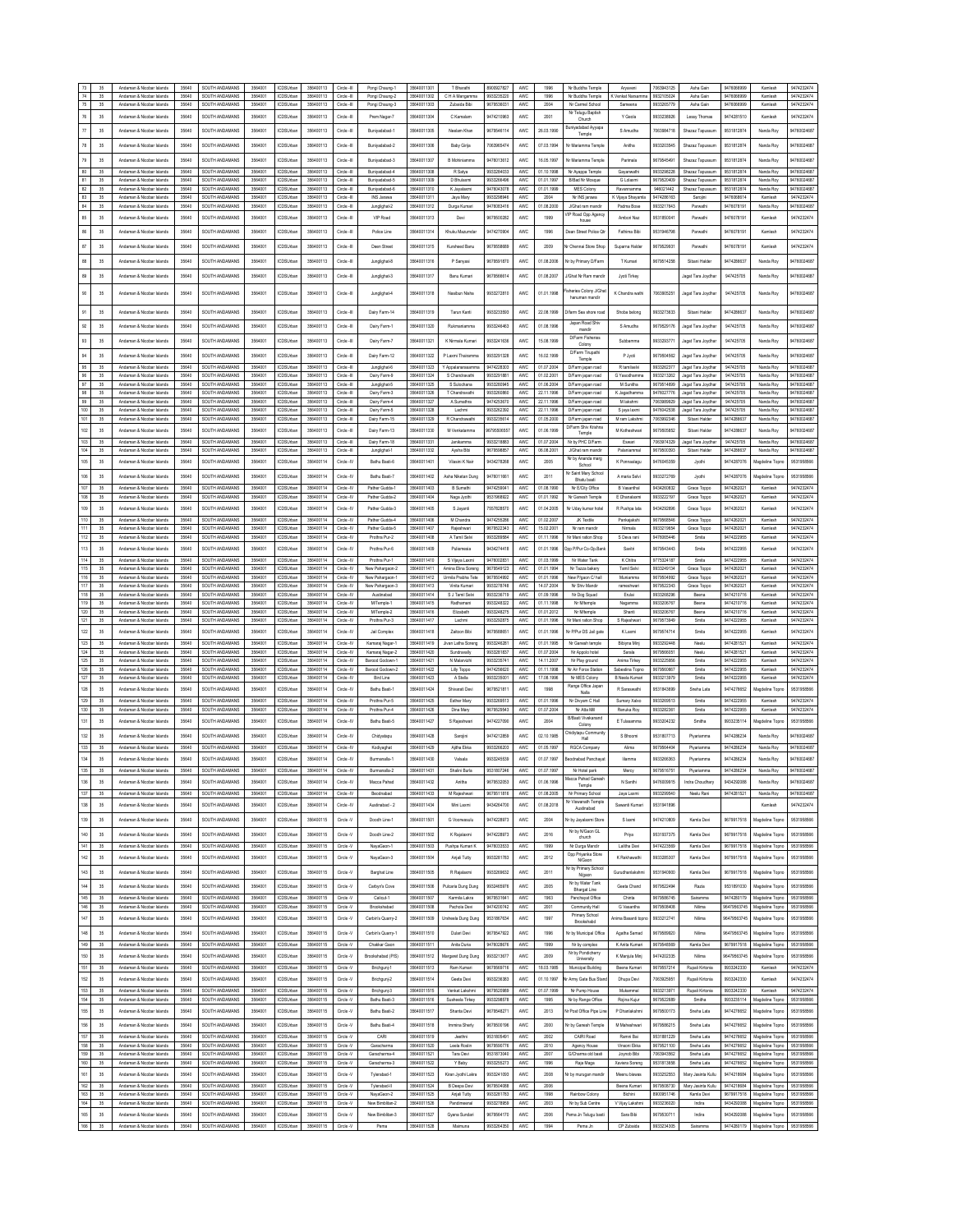|                | 35       | Andaman & Nicobar Islands                              | 35640          | SOUTH ANDAMANS                   | 3564001            | <b>ICDSUrban</b>                     | 356400113              | Circle -III                | Pongi Chauno-1                      | 35640011301                | T Bharathi                      | 8900927827               | AWC        | 1996                     | Nr Buddha Temple                         | Aryaveri                                 | 7063943125               | Asha Gain                              | 9476066999               | Kamlesh                            | 9474232474                 |
|----------------|----------|--------------------------------------------------------|----------------|----------------------------------|--------------------|--------------------------------------|------------------------|----------------------------|-------------------------------------|----------------------------|---------------------------------|--------------------------|------------|--------------------------|------------------------------------------|------------------------------------------|--------------------------|----------------------------------------|--------------------------|------------------------------------|----------------------------|
| $74$<br>$75\,$ | 35<br>35 | Andaman & Nicobar Islands<br>Andaman & Nicobar Islands | 35640<br>35640 | SOUTH ANDAMANS<br>SOUTH ANDAMANS | 3564001<br>3564001 | <b>ICDSUrban</b><br><b>ICDSUrbar</b> | 356400113<br>356400113 | Circle -III<br>Circle -III | Pongi Chaung-2<br>Pongi Chaung-3    | 35640011302<br>35640011303 | C H A Mangamma<br>Zubaida Bibi  | 9933235220<br>9679536031 | AWC<br>AWC | 1996<br>2004             | Nr Buddha Temple<br>Nr Carmel School     | K Venkat Narsamı<br>Sameena              | 9932105024<br>9933265779 | Asha Gair<br>Asha Gain                 | 9476066999<br>9476066999 | Kamlesh<br>Kamlesh                 | 9474232474<br>9474232474   |
|                |          |                                                        |                |                                  |                    |                                      |                        |                            |                                     |                            |                                 |                          |            |                          | Nr Telugu Baptish                        |                                          |                          |                                        |                          |                                    |                            |
| 76             | 35       | Andaman & Nicobar Islands                              | 35640          | SOUTH ANDAMANS                   | 3564001            | <b>ICDSUrbar</b>                     | 356400113              | Circle -III                | Prem Nagar-7                        | 35640011304                | C Kamalam                       | 9474210963               | AWC        | 2001                     | Church                                   | Y Geola                                  | 9933238926               | Lessy Thomas                           | 9474281510               | Kamlesh                            | 9474232474                 |
| $77\,$         | 35       | Andaman & Nicobar Islands                              | 35640          | SOUTH ANDAMANS                   | 3564001            | <b>ICDSUrba</b>                      | 356400113              | Circle -III                | Buriyadabad-1                       | 35640011305                | Neelam Khar                     | 9679546114               | AWC        | 26.03.1990               | Buniyadabad Ayyapa<br>Temple             | S Amudha                                 | 7063984718               | Shazaz Tapussur                        | 9531812874               | Nanda Roy                          | 94760024687                |
| $78\,$         | $35\,$   | Andaman & Nicobar Islands                              | 35640          | SOUTH ANDAMANS                   | 3564001            | CDSUrba                              | 356400113              | Circle -II                 | Buniyadabad-2                       | 35640011306                | Baby Girija                     | 7063965474               | AWC        | 07.03.1994               | Nr Mariamma Temple                       | Anitha                                   | 9933203545               | Shazaz Tapussu                         | 9531812874               | Nanda Roy                          | 9476002468                 |
|                |          |                                                        |                |                                  |                    |                                      |                        |                            |                                     |                            |                                 |                          |            |                          |                                          |                                          |                          |                                        |                          |                                    |                            |
| 79             | 35       | Andaman & Nicobar Islands                              | 35640          | SOUTH ANDAMANS                   | 3564001            | CDSUrbar                             | 356400113              | Circle -III                | Buniyadabad-3                       | 35640011307                | B Mohiniamma                    | 9476013612               | AWC        | 16.05.1997               | Nr Mariamma Templ                        | Parimala                                 | 967954549                | Shazaz Tapussur                        | 9531812874               | Nanda Roy                          | 9476002468                 |
| 80             | 35       | Andaman & Nicobar Islands                              | 35640          | SOUTH ANDAMANS                   | 3564001            | CDSUrbar                             | 356400113              | Circle -III                | Buniyadabad-4                       | 35640011308                | R Satya                         | 9933284033               | AWC        | 01.10.1998               | Nr Ayappa Temple                         | Gayanwathi                               | 9933298228               | Shazaz Tapussur                        | 9531812874               | Nanda Roy                          | 94760024687                |
| 81             | 35       | Andaman & Nicobar Islands                              | 35640          | SOUTH ANDAMANS                   | 3564001            | <b>ICDSUrba</b>                      | 356400113              | Circle -III                | Buniyadabad-5                       | 35640011309                | D Bhulaxm                       | 9933266496               | AWC        | 01.01.1997               | <b>B/Bad Nr Mosque</b>                   | G Lolaxmi                                | 9679520409               | Shazaz Tapussun                        | 9531812874               | Nanda Roy                          | 94760024687                |
| 82<br>83       | 35       | Andaman & Nicobar Islands                              | 35640<br>35640 | SOUTH ANDAMANS                   | 3564001            | <b>ICDSUrba</b>                      | 356400113              | Circle -III                | Bunivadabad-6                       | 35640011310                | K Javalaxmi                     | 9476043078               | AWC        | 01.01.1999<br>2004       | <b>MES Colony</b>                        | Rayannamma                               | 946021442                | Shazaz Tapussur                        | 9531812874               | Nanda Rov                          | 9476002468                 |
| 84             | 35<br>35 | Andaman & Nicobar Islands<br>Andaman & Nicobar Islands | 35640          | SOUTH ANDAMANS<br>SOUTH ANDAMANS | 356400<br>3564001  | <b>ICDSUrbar</b><br><b>ICDSUrba</b>  | 35640011<br>356400113  | Circle -II<br>Circle -III  | INS Jarawa<br>Junglighat-2          | 35640011311<br>35640011312 | Jaya Mary<br>Durga Kumari       | 9933298946<br>9476083416 | AWC<br>AWC | 01.08.2000               | Nr INS jarawa<br>J/Ghat ram mandir       | K Vijaya Shayami<br>Padma Bose           | 9474286163<br>9933217643 | Sarojini<br>Parwathi                   | 9476068614<br>9476078191 | Kamlesh<br>Nanda Roy               | 9474232474<br>94760024687  |
| 85             |          |                                                        | 35640          | SOUTH ANDAMANS                   | 356400             | CDSUrba                              | 356400113              | Circle -III                | VIP Road                            | 35640011313                |                                 | 967950028                | AWC        | 1999                     | <b>IP Road Opp Agency</b>                | Ambori Naz                               | 953185004                |                                        | 947607819                | Kamlesh                            | 9474232474                 |
|                | 35       | Andaman & Nicobar Islands                              |                |                                  |                    |                                      |                        |                            |                                     |                            | Devi                            |                          |            |                          | house                                    |                                          |                          | Parwathi                               |                          |                                    |                            |
| 86             | 35       | Andaman & Nicobar Islands                              | 35640          | SOUTH ANDAMANS                   | 3564001            | CDSUrba                              | 356400113              | Circle -III                | Police Line                         | 35640011314                | Khuku Mazumda                   | 947427090                | AWC        | 1996                     | Dean Street Police Qt                    | Fathima Bibi                             | 9531946798               | Parwath                                | 947607819                | Kamlesh                            | 947423247                  |
| $87\,$         | 35       | Andaman & Nicobar Islands                              | 35640          | SOUTH ANDAMANS                   | 3564001            | CDSUrbar                             | 356400113              | Circle -III                | Deen Street                         | 35640011315                | Kursheed Banu                   | 9679558689               | AWC        | 2009                     | Nr Chennai Store Shop                    | Suparna Halder                           | 9679529931               | Parwathi                               | 9476078191               | Kamlesh                            | 9474232474                 |
|                |          |                                                        |                |                                  |                    |                                      |                        |                            |                                     |                            |                                 |                          |            |                          |                                          |                                          |                          |                                        |                          |                                    |                            |
| 88             | 35       | Andaman & Nicobar Islands                              | 35640          | SOUTH ANDAMANS                   | 3564001            | CDSUrbar                             | 356400113              | Circle -III                | Junglighat-8                        | 35640011316                | P Sanyasi                       | 9679591870               | AWC        | 01.08.2006               | Nr hy Primary DiFarm                     | T Kumari                                 | 9679514258               | Sibani Halder                          | 9474286637               | Nanda Roy                          | 94760024687                |
| 89             | 35       | Andaman & Nicobar Islands                              | 35640          | SOUTH ANDAMANS                   | 3564001            | CDSLInha                             | 356400113              | Circle -III                | Junglighat-3                        | 35640011317                | Banu Kumari                     | 9679566614               | AWC        | 01.08.2007               | J/Ghat Nr Ram mandi                      | Jyoti Tirkey                             |                          | Jagat Tara Joydha                      | 947425705                | Nanda Roy                          | 9476002468                 |
|                |          |                                                        |                |                                  |                    |                                      |                        |                            |                                     |                            |                                 |                          |            |                          |                                          |                                          |                          |                                        |                          |                                    |                            |
| 90             | 35       | Andaman & Nicobar Islands                              | 35640          | SOLITH ANDAMANS                  | 3564001            | CDSUrba                              | 356400113              | Circle -III                | Junglighat-4                        | 35640011318                | Nasibun Nisha                   | 9933272810               | AWC        | 01.01.1998               | sheries Colony J/Gha<br>hanuman mandir   | K Chandra wath                           | 7063905251               | Jagat Tara Joydha                      | 947425705                | Nanda Roy                          | 9476002468                 |
|                |          |                                                        |                |                                  |                    |                                      |                        |                            |                                     |                            |                                 |                          |            |                          |                                          |                                          |                          |                                        |                          |                                    |                            |
| 91             | 35       | Andaman & Nicobar Islands                              | 35640          | SOUTH ANDAMANS                   | 3564001            | CDSUrbar                             | 356400113              | Circle -III                | Dairy Farm-14                       | 35640011319                | Tarun Kanti                     | 9933233593               | AWC        | 22.08.1999               | Difarm Sea shore road                    | Shoba belong                             | 9933273633               | Sibani Halder                          | 9474286637               | Nanda Roy                          | 9476002468                 |
| 92             | 35       | Andaman & Nicobar Islands                              | 35640          | SOUTH ANDAMANS                   | 3564001            | <b>ICDSUrbar</b>                     | 356400113              | Circle -III                | Dairy Farm-1                        | 35640011320                | Rukmaniamma                     | 9933246463               | AWC        | 01.08.1996               | Japan Road Shiv<br>mandir                | S Amudha                                 | 9679529176               | Jacat Tara Jovdha                      | 947425705                | Nanda Roy                          | 94760024687                |
| 93             | 35       | Andaman & Nicobar Islands                              | 35640          | SOUTH ANDAMANS                   | 3564001            | CDSLInha                             | 356400113              | Circle -III                | Dairy Farm-7                        | 35640011321                | K Nimala Kumari                 | 033241638                | AWC        | 15.08.1999               | <b>D/Farm Fisheries</b>                  | Subbaroma                                | 9933293771               | Jagat Tara Joydha                      | 947425705                | Nanda Roy                          | 94760024687                |
|                |          |                                                        |                |                                  |                    |                                      |                        |                            |                                     |                            |                                 |                          |            |                          | Colony<br>D/Farm Tirupathi               |                                          |                          |                                        |                          |                                    |                            |
| 94             | 35       | Andaman & Nicobar Islands                              | 35640          | SOUTH ANDAMANS                   | 3564001            | CDSUrba                              | 356400113              | Circle -II                 | Dairy Farm-12                       | 35640011322                | P Laxmi Thairamma               | 9933291328               | AWC        | 16.02.1999               | Temple                                   | P Jyoti                                  | 9679504562               | Jagat Tara Joydha                      | 947425705                | Nanda Roy                          | 9476002468                 |
| 95             | 35       | Andaman & Nicobar Islands                              | 35640          | SOUTH ANDAMANS                   | 3564001            | CDSUrba                              | 356400113              | Circle -III                | Junglighat-6                        | 35640011323                | Y Appalanarasam                 | 9474228303               | AWC        | 01.07.2004               | D/Farm japan road                        | R tamilselvi                             | 993326237                | Jagat Tara Joydha                      | 947425705                | Nanda Roy                          | 94760024687                |
| 96<br>97       | 35<br>35 | Andaman & Nicobar Islands<br>Andaman & Nicobar Islands | 35640<br>35640 | SOUTH ANDAMANS<br>SOUTH ANDAMANS | 3564001<br>3564001 | <b>ICDSUrba</b><br>CDSUrba           | 356400113<br>356400113 | Circle -III<br>Circle -III | Dairy Farm-9<br>Junglighat-5        | 35640011324<br>35640011325 | S Chandravath<br>S Sulochana    | 9933291881<br>9933280945 | AWC<br>AWC | 01.02.2001<br>01.06.2004 | D/Farm japan road<br>D/Farm japan road   | G Yasodhamm<br>M Sunitha                 | 9933213262<br>9679514699 | Jagat Tara Joydha<br>Jagat Tara Joydha | 947425705<br>947425705   | Nanda Roy<br>Nanda Roy             | 94760024687<br>94760024687 |
| 98             | 35       | Andaman & Nicobar Islands                              | 35640          | SOUTH ANDAMANS                   | 3564001            | CDSUrba                              | 356400113              | Circle -III                | Dairy Farm-3                        | 35640011326                | T Chandravath                   | 9933260860               | AWC        | 22.11.1996               | D/Farm japan road                        | K Jagadhamma                             | 9476027776               | Jagat Tara Joydha                      | 947425705                | Nanda Roy                          | 94760024687                |
| 99             | 35       | Andaman & Nicobar Islands                              | 35640          | SOUTH ANDAMANS                   | 3564001            | <b>ICDSUrba</b>                      | 356400113              | Circle -III                | Dairy Farm-4                        | 35640011327                | A Sumathra                      | 9474253670               | AWC.       | 22.11.1996               | D/Farm japan road                        | M lakshmi                                | 7063989929               | Jagat Tara Joydha                      | 947425705                | Nanda Roy                          | 94760024687                |
| 100            | 35       | Andaman & Nicobar Islands                              | 35640          | SOUTH ANDAMANS                   | 3564001            | <b>ICDSUrbar</b>                     | 356400113              | Circle -III                | Dairy Farm-5                        | 35640011328                | Lachmi                          | 9933262392               | AWC        | 22.11.1996               | D/Farm iapan road                        | S jaya laxmi                             | 9476042538               | Janat Tara Jowtha                      | 947425705                | Nanda Roy                          | 94760024687                |
| 101            | 35       | an & Nicobar Islands                                   | 35640          | SOUTH ANDAMANS                   | 3564001            | CDSUrba                              | 356400113              | Circle -III                | Dairy Farm-15                       | 35640011329                | R Chandrawath                   | 9933235614               | AWC        | 01.05.2000               | D/Farm japan road<br>D/Farm Shiv Krishna | M ram Lakshm                             | 7063992346               | Sibani Halder                          | 947428663                | Nanda Roy                          | 94760024687                |
| 102            | 35       | Andaman & Nicobar Islands                              | 35640          | SOUTH ANDAMANS                   | 3564001            | CDSUrba                              | 356400113              | Circle -II                 | Dairy Farm-13                       | 35640011330                | M Venkatamma                    | 679550655                | AWC        | 01.06.1999               | Temple                                   | M Kotheshwari                            | 9679505852               | Sibani Halder                          | 9474286637               | Nanda Roy                          | 9476002468                 |
| 103            | 35       | Andaman & Nicobar Islands                              | 35640          | SOUTH ANDAMANS                   | 3564001            | CDSUrba                              | 356400113              | Circle -III                | Dairy Farm-18                       | 35640011331                | Janikamma                       | 9933218883               | AWC        | 01.07.2004               | Nr by PHC D/Farm                         | Eswar                                    | 7063974329               | gat Tara Joydha                        | 947425705                | Nanda Roy                          | 94760024687                |
| 104            | 35       | Andaman & Nicobar Islands                              | 35640          | SOLITH ANDAMANS                  | 3564001            | <b>ICDSUrba</b>                      | 356400113              | Circle -III                | Junglighat-1                        | 35640011332                | Aysha Bibi                      | 9679598857               | AWC        | 06.08.2001               | J/Ghat ram mandin                        | Palaniamma                               | 9679500393               | Sibani Halde                           | 9474286637               | Nanda Roy                          | 94760024687                |
| 105            | 35       | Andaman & Nicobar Islands                              | 35640          | SOUTH ANDAMANS                   | 3564001            | CDSLInha                             | 356400114              | Circle - IV                | Bathu Basti-6                       | 35640011401                | Vilasini K Naj                  | 9434278268               | AWC.       | 2005                     | Nr by Ananda marg<br>School              | K Ponnaalagu                             | 9476045359               | Jyothi                                 | 9474287076               | Magdeline Topno                    | 9531958566                 |
| 106            | 35       | Andaman & Nicobar Islands                              | 35640          | SOUTH ANDAMANS                   | 3564001            | <b>ICDSUrbar</b>                     | 356400114              | Circle -IV                 | Bathu Basti-7                       | 35640011402                | Asha Niketan Dung               | 9476011661               | AWC        | 2011                     | Nr Saint Mary School                     | A maria Selvi                            | 9933272769               | Jyothi                                 | 9474287076               | Magdeline Topn                     | 9531958566                 |
| 107            | 35       | Andaman & Nicobar Islands                              | 35640          | SOUTH ANDAMANS                   | 3564001            | ICDSUrba                             | 356400114              | Circle -IV                 | Pather Gudda-1                      | 35640011403                | <b>B</b> Sumathi                | 9474259041               | AWC        | 01.08.1990               | Bhatu basti<br>Nr E/City Office          | B Vasanthal                              | 9434260832               | Grace Toppo                            | 947426202                | Kamlesh                            | 9474232474                 |
| 108            | 35       | Andaman & Nicobar Islands                              | 35640          | SOUTH ANDAMANS                   | 3564001            | <b>ICDSUrbar</b>                     | 356400114              | Circle -IV                 | Pather Gudda-2                      | 35640011404                | Naga Jyothi                     | 9531968922               | AWC        | 01.01.1992               | Nr Ganesh Temple                         | E Dhanalaxmi                             | 9933222197               | Grace Toppo                            | 9474262021               | Kamlesh                            | 9474232474                 |
| 109            | 35       | Andaman & Nicobar Islands                              | 35640          | SOUTH ANDAMANS                   | 3564001            | CDSUrbar                             | 356400114              | Circle -IV                 | Pather Gudda-3                      | 35640011405                | S Javanti                       | 7557828570               | AWC        | 01.04.2005               | Nr Liday kumar hotel                     | R Pushoa lata                            | 9434292696               | Grace Toppo                            | 9474262021               | Kamlesh                            | 9474232474                 |
| 110            | 35       | Andaman & Nicobar Islands                              | 35640          | SOUTH ANDAMANS                   | 3564001            | <b>ICDSUrban</b>                     | 356400114              | Circle -IV                 | Pather Gudda-4                      | 35640011406                | M Chandra                       | 9474255286               | AWC        | 01.02.2007               | JK Textile                               | Pankaiakshi                              | 9679568546               | Grace Toppo                            | 9474262021               | Kamlesh                            | 9474232474                 |
| $111$          | $35\,$   | Andaman & Nicobar Islands                              | 35640          | SOUTH ANDAMANS                   | 3564001            | <b>ICDSUrba</b>                      | 356400114              | Circle -IV                 | Pather Gudda-5                      | 35640011407                | Rajeshwar                       | 9679522343               | AWC        | 15.02.2001               | Nr ram mandir                            | Nirmala                                  | 9933219654               | Grace Toppo                            | 9474262021               | Kamlesh                            | 9474232474                 |
| 112            | 35       | Andaman & Nicobar Islands                              | 35640          | SOUTH ANDAMANS                   | 3564001            | <b>ICDSLINA®</b>                     | 356400114              | Circle -IV                 | Prothra Pur-2                       | 35640011408                | A Tamil Selvi                   | 9933289584               | AWC.       | 01.11.1996               | Nr Mani ration Shop                      | S Deva rani                              | 9476065446               | Smits                                  | 9474222955               | Kamlesh                            | 9474232474                 |
| 113            | 35       | Andaman & Nicobar Islands                              | 35640          | SOUTH ANDAMANS                   | 3564001            | CDSUrba                              | 356400114              | Circle -IV                 | Prothra Pur-6                       | 35640011409                | Puliemesia                      | 9434274418               | AWC        | 01.01.1996               | Opp P/Pur Co-Op.Bar                      | Savitri                                  | 9679543443               | Smits                                  | 9474222955               | Kamlesh                            | 9474232474                 |
| 114            | 35       | Andaman & Nicobar Islands                              | 35640          | SOUTH ANDAMANS                   | 3564001            | <b>ICDSUrbar</b>                     | 356400114              | Circle -IV                 | Prothra Pur-1                       | 35640011410                | S Vijaya Laxmi                  | 9476002831               | AWC        | 01.03.1999               | Nr Water Tank                            | K Chitra                                 | 9775324187               | Smits                                  | 9474222955               | Kamlesh                            | 9474232474                 |
| 115            | 35       | Andaman & Nicobar Islands                              | 35640          | SOUTH ANDAMANS                   | 3564001            | <b>ICDSUrban</b>                     | 356400114              | Circle-IV                  | New Pahargaon-2                     | 35640011411                | Amina Elina Soreno              | 9679549123               | AWC        | 01.01.1994               | Nr Tazza bakery                          | Tamil Selvi                              | 9933249134               | Grace Toppo                            | 9474262021               | Kamlesh                            | 9474232474                 |
| 116            | 35       | an & Nicobar Islands<br>Anda                           | 35640          | SOUTH ANDAMANS                   | 3564001            | CDSUrbar                             | 356400114              | Circle -IV                 | New Pahargaon-1                     | 35640011412                | Urmila Prabha Tele              | 9679504992               | AWC        | 01.01.1996               | New P/gaon C/ hall                       | Muniamma                                 | 9679504992               | Grace Toppo                            | 947426202                | Kamlesh                            | 9474232474                 |
| 117<br>118     | 35<br>35 | Andeman & Nicobar Islands<br>Andaman & Nicobar Islands | 35640<br>35640 | SOUTH ANDAMANS<br>SOUTH ANDAMANS | 3564001<br>3564001 | <b>ICDSUrbar</b><br><b>ICDSUrban</b> | 356400114<br>356400114 | Circle -IV<br>Circle - IV  | New Pahargaon-3<br>Austinabad       | 35640011413<br>35640011414 | Vinita Kumari<br>S J Tami Selvi | 9933278748<br>9933236719 | AWC<br>AWC | 14.07.2004<br>01.09.1996 | Nr Shiy Mandir<br>Nr Dog Squad           | rameshwari<br>Fruitei                    | 9679522343<br>9933268296 | Grace Toppo<br>Beens                   | 9474262021<br>9474210716 | Kamlesh<br>Kamlesh                 | 9474232474<br>9474232474   |
| 119            | $35\,$   | Andaman & Nicobar Islands                              | 35640          | SOUTH ANDAMANS                   | 3564001            | ICDSUrba                             | 356400114              | Circle -IV                 | M/Temple-1                          | 35640011415                | Radhaman                        | 9933248322               | AWC        | 01.11.1998               | Nr Mtemple                               | Nagamma                                  | 9933206767               | Beena                                  | 9474210716               | Kamlesh                            | 9474232474                 |
| 120            | 35       | Andaman & Nicobar Islands                              | 35640          | SOUTH ANDAMANS                   | 3564001            | <b>ICDSLIMA</b>                      | 356400114              | Circle -IV                 | M/Temple-2                          | 35640011416                | Elizabeth                       | 9933248275               | AWC.       | 01 01 2012               | Nr Mtemple                               | Shanti                                   | 9933206767               | Beena                                  | 9474210716               | Kamlesh                            | 9474232474                 |
|                | 35       | Andaman & Nicobar Islands                              | 35640          | SOUTH ANDAMANS                   | 3564001            |                                      |                        | Circle - IV                | Prothra Pur-3                       |                            |                                 | 9933292875               | AWC        | 01.01.1996               | Nr Mani ration Shop                      |                                          | 9679573949               | Smite                                  | 9474222955               | Kamlesh                            | 9474232474                 |
| 121            |          |                                                        |                |                                  |                    | <b>ICDSUrbar</b>                     | 356400114              |                            |                                     | 35640011417                | Lachmi                          |                          |            |                          |                                          | S Rajeshwari                             |                          |                                        |                          |                                    |                            |
| 122            | 35       | Andaman & Nicobar Islands                              | 35640          | SOUTH ANDAMANS                   | 3564001            | <b>ICDSUrba</b>                      | 356400114              | Circle -IV                 | Jail Complex                        | 35640011418                | Zaitoon Bibi                    | 967958865                | AWC        | 01.01.1996               | Nr P/Pur DS Jail gate                    | K Laxmi                                  | 9679574714               | Smita                                  | 9474222955               | Kamlesh                            | 9474232474                 |
| 123            | 35       | Andaman & Nicobar Islands                              | 35640          | SOUTH ANDAMANS                   | 3564001            | <b>ICDSUrban</b>                     | 356400114              | Circle-IV                  | Kamarai Nagar-1                     | 35640011419                | Jivan Latha Soreno              | 9933246281               | AWC        | 01.01.1995               | Nr Ganesh temple                         | Bibiyna Mini                             | 9933292448               | Neelu                                  | 9474281521               | Kamlesh                            | 9474232474                 |
| $124\,$        | 35       | an & Nicobar Islands<br>Anda                           | 35640          | SOUTH ANDAMANS                   | 3564001            | CDSUrbar                             | 356400114              | Circle -IV                 | Kamaraj Nagar-2                     | 35640011420                | Sundravally                     | 9933281837               | AWC        | 01.07.2004               | Nr Appolo hotel                          | Sarala                                   | 967956605                | Neel:                                  | 947428152                | Kamlesh                            | 9474232474                 |
| 125            | 35       | Andeman & Nicobar Islands                              | 35640          | SOUTH ANDAMANS                   | 3564001            | <b>ICDSUrbar</b>                     | 356400114              | Circle -IV                 | Barood Godown-1                     | 35640011421                | N Malarvizhi                    | 9933235741               | AWC        | 14.11.2007               | Nr Play ground                           | Anima Tirkey                             | 9933225956               | Smits                                  | 9474222955               | Kamlesh                            | 9474232474                 |
| 126            | 35<br>35 | Andaman & Nicobar Islands<br>Andaman & Nicobar Islands | 35640<br>35640 | SOUTH ANDAMANS<br>SOUTH ANDAMANS | 3564001<br>3564001 | <b>ICDSUrban</b><br><b>ICDSUrba</b>  | 356400114<br>356400114 | Circle -IV<br>Circle -IV   | Barcod Godown-2<br><b>Bird Line</b> | 35640011422<br>35640011423 | Lily Toppo<br>A Stella          | 9474256620<br>9933235001 | AWC<br>AWC | 01.11.1998<br>17.08.1996 | Nr Air Force Station<br>Nr MES Colony    | Sabestina Topno<br><b>B</b> Neela Kumari | 9679560667<br>9933213979 | Smita<br>Smits                         | 9474222955<br>9474222955 | Kamlesh<br>Kamlesh                 | 9474232474<br>9474232474   |
| 127            |          |                                                        |                |                                  |                    |                                      |                        |                            |                                     |                            |                                 |                          |            |                          | Range Office Japan                       |                                          |                          |                                        |                          |                                    |                            |
| 128            | 35       | Andaman & Nicobar Islands                              | 35640          | SOUTH ANDAMANS                   | 3564001            | CDSUrba                              | 356400114              | Circle - N                 | Bathu Basti-1                       | 3564001142                 | Shivarati Devi                  | 967952181                | AWC        | 1998                     | Nalla                                    | R Saraswathi                             | 953184369                | Sneha Lata                             | 9474276652               | lagdeline Topno                    | 953195856                  |
| 129<br>130     | 35       | Andaman & Nicobar Islands                              | 35640<br>35640 | SOUTH ANDAMANS<br>SOUTH ANDAMANS | 3564001<br>3564001 | <b>ICDSUrba</b><br>ICDSUrba          | 356400114<br>356400114 | Circle -IV<br>Circle -IV   | Prothra Pur-5                       | 35640011425<br>35640011426 | Esther Mary                     | 9933269513               | AWC<br>AWC | 01.01.1996<br>01.07.2004 | Nr Divyam C Hall<br>Nr Atta Mill         | Sumary Xalxo<br>Renuka Roy               | 9933269513<br>9933282361 | Smits                                  | 9474222955               | Kamlesh<br>Kamlesh                 | 9474232474<br>9474232474   |
|                | 35       | Andaman & Nicobar Islands                              |                |                                  |                    | CDSUrba                              |                        |                            | Prothra Pur-4                       |                            | Dina Mary                       | 9679529543               | AWC        | 2004                     | <b>B/Basti Vivekanand</b>                |                                          | 9933204232               | Smits<br>Smitha                        | 9474222955               |                                    |                            |
| 131            | 35       | Andaman & Nicobar Islands                              | 35640          | SOUTH ANDAMANS                   | 3564001            |                                      | 356400114              | Circle - IV                | Bathu Basti-5                       | 35640011427                | S Rajeshwari                    | 9474227090               |            |                          | Colony                                   | E Tulasamma                              |                          |                                        | 9933235114               | Aagdeline Topn                     | 953195856                  |
| 132            | 35       | Andaman & Nicobar Islands                              | 35640          | SOUTH ANDAMANS                   | 356400             | CDSUrba                              | 356400114              | Circle -IV                 | Chidyatapu                          | 35640011428                | Sarojini                        | 947421285                | AWC        | 02.10.1985               | Chidiytapu Community<br>Hall             | S Bhoom                                  | 9531807713               | Piyariamma                             | 947428623                | Nanda Roy                          | 9476002468                 |
| 133            | 35       | Andaman & Nicobar Islands                              | 35640          | SOUTH ANDAMANS                   | 3564001            | <b>ICDSUrbar</b>                     | 356400114              | Circle -IV                 | Kodiyaghat                          | 35640011429                | Ajiha Ekka                      | 9933266203               | AWC        | 01.05.1997               | RGCA Company                             | Alima                                    | 9679564404               | Piyariamma                             | 9474286234               | Nanda Roy                          | 94760024687                |
| 134            | 35       | Andaman & Nicobar Islands                              | 35640          | SOUTH ANDAMANS                   | 3564001            | CDSUrba                              | 356400114              | Circle - IV                | Burmanalla-1                        | 35640011430                | Valsala                         | 9933245539               | AWC        | 01.07.1997               | eodnabad Panchaya                        | <b>Hamma</b>                             | 9933266363               | Piyariamm                              | 9474286234               | Nanda Roy                          | 9476002468                 |
| 135            | 35       | Andaman & Nicobar Islands                              | 35640          | SOUTH ANDAMANS                   | 3564001            | <b>ICDSUrban</b>                     | 356400114              | Circle -IV                 | Burmanalla-2                        | 35640011431                | Shalini Burla                   | 9531807246               | AWC        | 01.07.1997               | Nr Hotel park                            | Mercy                                    | 9679516751               | Piyariamma                             | 9474286234               | Nanda Roy                          | 94760024687                |
|                |          |                                                        |                |                                  |                    |                                      |                        |                            |                                     | 3564001143                 |                                 |                          |            | 01.06.1996               | Macca Pahad Ganesh<br>Temple             |                                          |                          |                                        |                          |                                    |                            |
| 137            | 35       | Andaman & Nicobar Islands                              | 35640          | SOUTH ANDAMANS                   | 3564001            | ICDSUrbar                            | 356400114              | Circle -IV                 | Beodnabad                           | 35640011433                | M Rajeshwari                    | 9679511816               | AWC        | 01.08.2005               | Nr Primary School                        | Jaya Laxmi                               | 9933299540               | Neelu Rani                             | 9474281521               | Nanda Roy                          | 94760024687                |
| 138            | 35       | Andaman & Nicobar Islands                              | 35640          | SOUTH ANDAMANS                   | 3564001            | CDSUrba                              | 356400114              | Circle -IV                 | Austinabad - 2                      | 3564001143                 | Mini Laxmi                      | 9434264700               | AWC        | 01.08.2018               | Nr Viswanath Temple<br>Austinabad        | Sawanti Kumari                           | 9531941896               |                                        |                          | Kamlesh                            | 9474232474                 |
| 139            | 35       | Andaman & Nicobar Islands                              | 35640          | SOUTH ANDAMANS                   | 3564001            | CDSUrba                              | 356400115              | Circle -V                  | Doodh Line-1                        | 35640011501                | G Voorwasulu                    | 9474228973               | AWC        | 2004                     | Ir by Jayalaxmi Ston                     | S laxmi                                  | 9474210809               | Kamla Devi                             | 9679917518               | Magdeline Topno                    | 9531958566                 |
|                |          |                                                        |                |                                  |                    |                                      |                        |                            |                                     |                            |                                 |                          |            |                          |                                          |                                          |                          |                                        |                          |                                    |                            |
| 140            | $35\,$   | Andaman & Nicobar Islands                              | 35640          | SOUTH ANDAMANS                   | 3564001            | CDSUrban                             | 356400115              | Circle -V                  | Doodh Line-2                        | 35640011502                | K Rajalaxmi                     | 9474228973               | AWC        | 2016                     | Nr by N/Gaon GL<br>church                | Priya                                    | 9531937375               | Kamla Devi                             | 9679917518               | Magdeline Topno                    | 9531958566                 |
| 141            | 35       | Andaman & Nicobar Islands                              | 35640          | SOUTH ANDAMANS                   | 3564001            | ICDSUrba                             | 356400115              | Circle -V                  | NayaGaon-1                          | 35640011503                | Pushpa Kumari K                 | 9476033533               | AWC        | 1999                     | Nr Durga Mandir                          | Lalitha Devi                             | 9474223569               | Kamla Devi                             | 9679917518               | Magdeline Topn                     | 9531958566                 |
| 142            | 35       | Andaman & Nicobar Islands                              | 35640          | SOUTH ANDAMANS                   | 3564001            | CDSUrba                              | 356400115              | Circle -V                  | NayaGaon-3                          | 3564001150                 | Anjali Tutty                    | 9933281783               | AWC        | 2012                     | Opp Priyanka Store<br><b>N/Gaon</b>      | K Rekhawathi                             | 9933285307               | Kamla Devi                             | 9679917518               | Magdeline Topno                    | 9531958566                 |
| 143            | $35\,$   | Andaman & Nicobar Islands                              | 35640          | SOUTH ANDAMANS                   | 3564001            | <b>ICDSUrban</b>                     | 356400115              | Circle -V                  | Barghat Line                        | 35640011505                | R Rajalaxmi                     | 9933269632               | AWC        | 2011                     | Nr by Primary Schoo                      | Gurudhanlakshmi                          | 9531940900               | Kamla Devi                             | 9679917518               | Magdeline Topno                    | 9531958566                 |
|                |          |                                                        |                |                                  |                    |                                      |                        |                            |                                     |                            |                                 |                          |            |                          | Nígaon<br>Nr by Water Tank               |                                          |                          |                                        |                          |                                    |                            |
| 144            | 35       | Andaman & Nicobar Islands                              | 35640          | SOUTH ANDAMANS                   | 3564001            | <b>ICDSUrbar</b>                     | 356400115              | Circle -V                  | Carbyn's Cove                       | 35640011506                | Pulcaria Dung Dung              | 9932465976               | AWC        | 2005                     | <b>Bhargat Line</b>                      | Geeta Chand                              | 9679522494               | Razia                                  | 9531891030               | Magdeline Topno                    | 9531958566                 |
| 145            | 35       | Andaman & Nicobar Islands<br>Andaman & Nicobar Islands | 35640          | SOUTH ANDAMANS                   | 3564001            | <b>ICDSUrba</b>                      | 356400115              | Circle -V                  | Calicut-1                           | 35640011507                | Karmila Lakra                   | 9679531641               | AWC        | 1963                     | Panchaust Office                         | Chinta                                   | 9679586745               | Sairamma                               | 9474280179               | Magdeline Topno                    | 9531958566                 |
| 146            | 35       |                                                        | 35640          | SOUTH ANDAMANS                   | 3564001            | ICDSUrba                             | 356400115              | Circle -V                  | Brookshabad                         | 35640011508                | Pachola Devi                    | 9474200742               | AWC        | 2001                     | Community Hall<br>Primary School         | G Vasantha                               | 9679508408               | Nilma                                  | 96479563745              | Magdeline Topno                    | 9531958566                 |
| 147            | $35\,$   | Andaman & Nicobar Islands                              | 35640          | SOUTH ANDAMANS                   | 3564001            | CDSUrban                             | 356400115              | Circle -V                  | Carbin's Quarry-2                   | 35640011509                | Ursheela Dung Dung              | 9531867634               | AWC        | 1997                     | Brookshabd                               | Anima Basanti topn                       | 9933212741               | Nilma                                  | 96479563745              | Magdeline Topno                    | 9531958566                 |
| 148            | 35       | Andaman & Nicobar Islands                              | 35640          | SOUTH ANDAMANS                   | 3564001            | <b>ICDSUrbar</b>                     | 356400115              | Circle -V                  | Carbin's Quarry-1                   | 35640011510                | Dulari Devi                     | 9679547922               | AWC        | 1996                     | Nr by Municipal Office                   | Agatha Samad                             | 9679589920               | Nilma                                  | 96479563745              | Magdeline Topno                    | 9531958566                 |
| 149            | 35       | Andaman & Nicobar Islands                              | 35640          | SOUTH ANDAMANS                   | 3564001            | CDSUrbar                             | 356400115              | Circle -V                  | Chakkar Gaon                        | 35640011511                | Anita Duria                     | 9476028676               | AWC        | 1999                     | Nr by complex                            | K Anita Kumar                            | 9679548569               | Kamla Devi                             | 9679917518               | Maddeline Topno                    | 9531958566                 |
| 150            | $35\,$   | Andaman & Nicobar Islands                              | 35640          | SOUTH ANDAMANS                   | 3564001            | <b>ICDSUrban</b>                     | 356400115              | Circle -V                  | Brookshabad (P/S)                   | 35640011512                | Margaret Dung Dung              | 9933213677               | AWC        | 2009                     | Nr by Pondicherry<br>University          | K Manjula Minj                           | 9474202335               | Nilma                                  | 96479563745              | Magdeline Topno                    | 9531958566                 |
| 151            | 35       | Andaman & Nicobar Islands                              | 35640          | SOUTH ANDAMANS                   | 3564001            | <b>ICDSUrban</b>                     | 356400115              | Circle -V                  | Bridhgunj-1                         | 35640011513                | Ram Kumari                      | 9679569716               | AWC        | 18.03.1985               | Municipal Building                       | Beena Kumari                             | 9679557214               | Rupali Kirtonia                        | 9933242330               | Kamlesh                            | 9474232474                 |
| 152            | 35       | Andaman & Nicobar Islands                              | 35640          | SOUTH ANDAMANS                   | 3564001            | <b>ICDSUrbar</b>                     | 356400115              | Circle -V                  | Brichgunj-2                         | 35640011514                | Geeta Devi                      | 9933236383               | AWC        | 01.10.1997               | Vr Army Gate Bus Stan                    | Dhupa Devi                               | 7063925951               | Rupali Kirtonia                        | 9933242330               | Kamlesh                            | 9474232474                 |
| 153            | 35       | Andaman & Nicobar Islands                              | 35640          | SOUTH ANDAMANS                   | 3564001            | ICDSUrba                             | 356400115              | Circle -V                  | Bridhgunj-3                         | 35640011515                | Venkat Lakshm                   | 9679520989               | AWC        | 01.07.1999               | Nr Pump House                            | Mukammal                                 | 993321397                | Rupali Kirtonia                        | 9933242330               | Kamlesh                            | 9474232474                 |
| 154            | 35       | Andaman & Nicobar Islands                              | 35640          | SOUTH ANDAMANS                   | 3564001            | <b>ICDSUrbar</b>                     | 356400115              | Circle -V                  | Bathu Basti-3                       | 35640011516                | Susheela Tirkey                 | 9933298578               | AWC        | 1995                     | Nr by Range Office                       | Rojina Kujur                             | 9679522689               | Smitha                                 | 9933235114               | Magdeline Topno                    | 9531958566                 |
| 155            | 35       | Andaman & Nicobar Islands                              | 35640          | SOUTH ANDAMANS                   | 356400             | CDSUrba                              | 356400115              | Circle -V                  | Bathu Basti-2                       | 35640011517                | Shanta Dev                      | 9679548271               | AWC        | 2013                     | Nr Post Office Pipe Li                   | P Dhanlakshmi                            | 9679500173               | Sneha Lata                             | 9474276652               | Magdeline Topno                    | 9531958566                 |
|                |          |                                                        |                |                                  |                    |                                      |                        |                            |                                     |                            |                                 |                          |            |                          |                                          |                                          |                          |                                        |                          |                                    |                            |
| 156            | 35       | Andaman & Nicobar Islands                              | 35640          | SOUTH ANDAMANS                   | 3564001            | CDSUrba                              | 356400115              | Circle -V                  | Bathu Basti-4                       | 35640011518                | Immina Sherly                   | 9679500196               | AWC        | 2000                     | Nr by Ganesh Temple                      | M Maheshwari                             | 9679586215               | Sneha Lata                             | 9474276652               | Magdeline Topno                    | 9531958566                 |
| 157            | 35       | Andaman & Nicobar Islands                              | 35640          | SOUTH ANDAMANS                   | 3564001            | ICDSUrba                             | 356400115              | Circle -V                  | CARI                                | 35640011519                | Jeethni                         | 9531805491               | AWC        | 2002                     | CAIRI Road                               | Ramni Bai                                | 9531881229               | Sneha Lata                             | 9474276652               | Magdeline Topn                     | 9531958566                 |
| 158<br>159     | 35<br>35 | Andaman & Nicobar Islands<br>Andaman & Nicobar Islands | 35640<br>35640 | SOUTH ANDAMANS<br>SOUTH ANDAMANS | 3564001<br>3564001 | <b>ICDSUrbar</b><br><b>ICDSUrban</b> | 356400115<br>356400115 | Circle -V<br>Circle -V     | Garacharma<br>Garacharma-4          | 35640011520<br>35640011521 | Leela Rosin<br>Tara Devi        | 9679590776<br>9531873040 | AWC<br>AWC | 2010<br>2007             | Agency House<br>G/Charma old bast        | Vinsoni Ekka<br>Joynob Bibi              | 9679521100<br>7063943562 | Sneha Lata<br>Sneha Lata               | 9474276652<br>9474276652 | Magdeline Topno<br>Magdeline Topno | 9531958566<br>9531958566   |
| 160            | 35       | an & Nicobar Islands                                   | 35640          | SOUTH ANDAMANS                   | 3564001            | CDSUrbar                             | 356400115              | Circle -V                  | Garacharma-3                        | 35640011522                | Y Baby                          | 9933255273               | AWC        | 1996                     | Raja Maga                                | Xaviera Soreng                           | 9531813658               | Sneha Lata                             | 9474276652               | Aagdeline Topno                    | 9531958566                 |
| 161            | 35       | Andaman & Nicobar Islands                              | 35640          | SOUTH ANDAMANS                   | 3564001            | CDSUrbar                             | 356400115              | Circle -V                  | Tylerabad-1                         | 35640011523                | Kiran Jyothi Lakra              | 9933241093               | AWC        | 2008                     | Nr by murugan mandi                      | Meenu biswas                             | 9933252553               | Mary Jasinta Kullu                     | 9474218684               | Aagdeline Topn                     | 9531958566                 |
| 162            | 35       | Andaman & Nicobar Islands                              | 35640          | SOUTH ANDAMANS                   | 3564001            | CDSUrba                              | 356400115              | Circle -V                  | Tylerabad-II                        | 35640011524                | <b>B</b> Deepa Dev              | 679504088                | AWC        | 2006                     |                                          | Beena Kumar                              | 9679508730               | Mary Jasinta Kull                      | 9474218684               | lagdeline Topno                    | 9531958566                 |
| 163            | 35       | Andaman & Nicobar Islands                              | 35640          | SOUTH ANDAMANS                   | 3564001            | <b>ICDSUrba</b>                      | 356400115              | Circle -V                  | NayaGaon-2                          | 35640011525                | Anjali Tutty                    | 9933281783               | AWC        | 1998                     | Rainbow Color                            | Richini                                  | 8900951746               | Kamla Dev                              | 9679917518               | Magdeline Topn                     | 9531958566                 |
| 164            | 35       | Andaman & Nicobar Islands                              | 35640          | SOUTH ANDAMANS                   | 3564001            | CDSUrba                              | 356400115              | Circle -V                  | New Bimblitan-2                     | 35640011526                | Pandmeenal                      | 9933278969               | AWC        | 2003                     | Nr by Sub Centre                         | V Vijay Lakshm                           | 9933236020               | Indira                                 | 9434292088               | Maddeline Topno                    | 9531958566                 |
| 165<br>166     | 35<br>35 | Andaman & Nicobar Islands<br>Andaman & Nicobar Islands | 35640<br>35640 | SOUTH ANDAMANS<br>SOUTH ANDAMANS | 3564001<br>3564001 | CDSUrbar<br><b>ICDSUrban</b>         | 356400115<br>356400115 | Circle -V<br>Circle -V     | New Bimblitan-3<br>Pema             | 35640011527<br>35640011528 | Gyana Sundari<br>Maimuna        | 9679564170<br>9933264350 | AWC<br>AWC | 2006<br>1994             | Pema Jn Telugu basti                     | Sara Bibi                                | 9679530711<br>9933234305 | Indira<br>Sairamma                     | 9434292088<br>9474280179 | Magdeline Topno<br>Magdeline Topno | 9531958566<br>9531958566   |